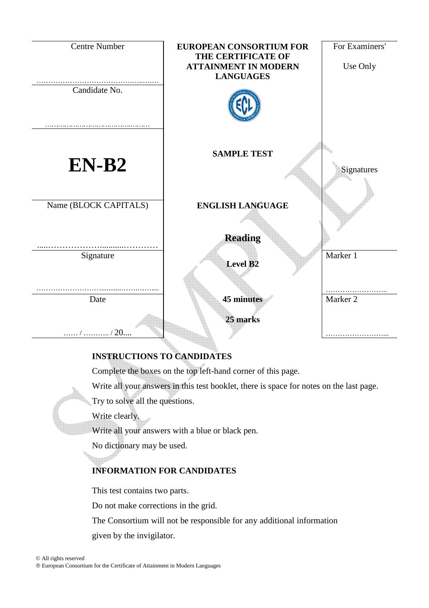

# **INSTRUCTIONS TO CANDIDATES**

Complete the boxes on the top left-hand corner of this page.

Write all your answers in this test booklet, there is space for notes on the last page.

Try to solve all the questions.

Write clearly.

Write all your answers with a blue or black pen.

No dictionary may be used.

# **INFORMATION FOR CANDIDATES**

This test contains two parts.

Do not make corrections in the grid.

The Consortium will not be responsible for any additional information given by the invigilator.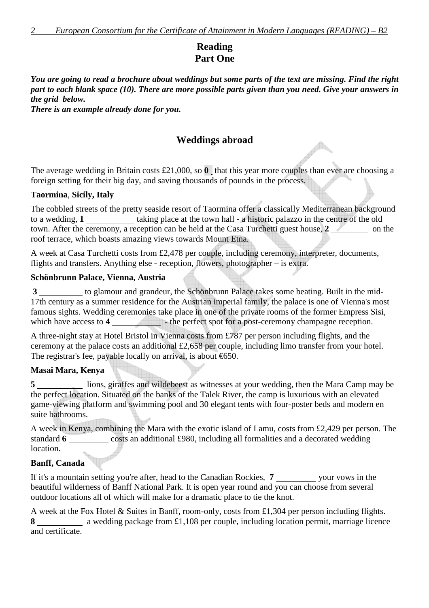# **Reading Part One**

*You are going to read a brochure about weddings but some parts of the text are missing. Find the right part to each blank space (10). There are more possible parts given than you need. Give your answers in the grid below.* 

*There is an example already done for you.* 

## **Weddings abroad**

 $\rightarrow$ 

The average wedding in Britain costs £21,000, so **0** that this year more couples than ever are choosing a foreign setting for their big day, and saving thousands of pounds in the process.

#### **Taormina**, **Sicily, Italy**

The cobbled streets of the pretty seaside resort of Taormina offer a classically Mediterranean background to a wedding, **1** taking place at the town hall - a historic palazzo in the centre of the old town. After the ceremony, a reception can be held at the Casa Turchetti guest house, 2 on the roof terrace, which boasts amazing views towards Mount Etna.

A week at Casa Turchetti costs from £2,478 per couple, including ceremony, interpreter, documents, flights and transfers. Anything else - reception, flowers, photographer – is extra.

#### **Schönbrunn Palace, Vienna, Austria**

**3** to glamour and grandeur, the Schönbrunn Palace takes some beating. Built in the mid-17th century as a summer residence for the Austrian imperial family, the palace is one of Vienna's most famous sights. Wedding ceremonies take place in one of the private rooms of the former Empress Sisi, which have access to **4** - the perfect spot for a post-ceremony champagne reception.

A three-night stay at Hotel Bristol in Vienna costs from £787 per person including flights, and the ceremony at the palace costs an additional £2,658 per couple, including limo transfer from your hotel. The registrar's fee, payable locally on arrival, is about  $\epsilon$ 650.

#### **Masai Mara, Kenya**

**5** lions, giraffes and wildebeest as witnesses at your wedding, then the Mara Camp may be the perfect location. Situated on the banks of the Talek River, the camp is luxurious with an elevated game-viewing platform and swimming pool and 30 elegant tents with four-poster beds and modern en suite bathrooms.

A week in Kenya, combining the Mara with the exotic island of Lamu, costs from £2,429 per person. The standard **6 costs an additional £980, including all formalities and a decorated wedding** location. **The Company of Section** 

#### **Banff, Canada**

If it's a mountain setting you're after, head to the Canadian Rockies, 7 your vows in the beautiful wilderness of Banff National Park. It is open year round and you can choose from several outdoor locations all of which will make for a dramatic place to tie the knot.

A week at the Fox Hotel & Suites in Banff, room-only, costs from £1,304 per person including flights. 8 **8 a** wedding package from £1,108 per couple, including location permit, marriage licence and certificate.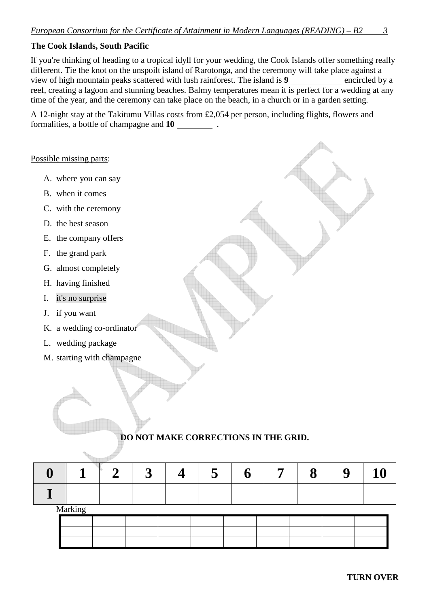#### **The Cook Islands, South Pacific**

If you're thinking of heading to a tropical idyll for your wedding, the Cook Islands offer something really different. Tie the knot on the unspoilt island of Rarotonga, and the ceremony will take place against a view of high mountain peaks scattered with lush rainforest. The island is 9 **encircled** by a reef, creating a lagoon and stunning beaches. Balmy temperatures mean it is perfect for a wedding at any time of the year, and the ceremony can take place on the beach, in a church or in a garden setting.

A 12-night stay at the Takitumu Villas costs from £2,054 per person, including flights, flowers and formalities, a bottle of champagne and **10** .

#### Possible missing parts:

- A. where you can say
- B. when it comes
- C. with the ceremony
- D. the best season
- E. the company offers
- F. the grand park
- G. almost completely
- H. having finished
- I. it's no surprise
- J. if you want
- K. a wedding co-ordinator
- L. wedding package
- M. starting with champagne

### **DO NOT MAKE CORRECTIONS IN THE GRID.**

| $\mathbf{M}$ 1. |  |  |  |  |  |
|-----------------|--|--|--|--|--|

Marking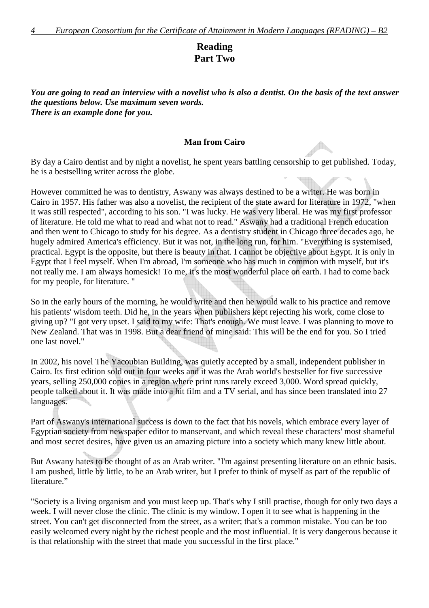## **Reading Part Two**

*You are going to read an interview with a novelist who is also a dentist. On the basis of the text answer the questions below. Use maximum seven words. There is an example done for you.* 

#### **Man from Cairo**

By day a Cairo dentist and by night a novelist, he spent years battling censorship to get published. Today, he is a bestselling writer across the globe.

However committed he was to dentistry, Aswany was always destined to be a writer. He was born in Cairo in 1957. His father was also a novelist, the recipient of the state award for literature in 1972, "when it was still respected", according to his son. "I was lucky. He was very liberal. He was my first professor of literature. He told me what to read and what not to read." Aswany had a traditional French education and then went to Chicago to study for his degree. As a dentistry student in Chicago three decades ago, he hugely admired America's efficiency. But it was not, in the long run, for him. "Everything is systemised, practical. Egypt is the opposite, but there is beauty in that. I cannot be objective about Egypt. It is only in Egypt that I feel myself. When I'm abroad, I'm someone who has much in common with myself, but it's not really me. I am always homesick! To me, it's the most wonderful place on earth. I had to come back for my people, for literature. "

So in the early hours of the morning, he would write and then he would walk to his practice and remove his patients' wisdom teeth. Did he, in the years when publishers kept rejecting his work, come close to giving up? "I got very upset. I said to my wife: That's enough. We must leave. I was planning to move to New Zealand. That was in 1998. But a dear friend of mine said: This will be the end for you. So I tried one last novel."

In 2002, his novel The Yacoubian Building, was quietly accepted by a small, independent publisher in Cairo. Its first edition sold out in four weeks and it was the Arab world's bestseller for five successive years, selling 250,000 copies in a region where print runs rarely exceed 3,000. Word spread quickly, people talked about it. It was made into a hit film and a TV serial, and has since been translated into 27 languages.

Part of Aswany's international success is down to the fact that his novels, which embrace every layer of Egyptian society from newspaper editor to manservant, and which reveal these characters' most shameful and most secret desires, have given us an amazing picture into a society which many knew little about.

But Aswany hates to be thought of as an Arab writer. "I'm against presenting literature on an ethnic basis. I am pushed, little by little, to be an Arab writer, but I prefer to think of myself as part of the republic of literature."

"Society is a living organism and you must keep up. That's why I still practise, though for only two days a week. I will never close the clinic. The clinic is my window. I open it to see what is happening in the street. You can't get disconnected from the street, as a writer; that's a common mistake. You can be too easily welcomed every night by the richest people and the most influential. It is very dangerous because it is that relationship with the street that made you successful in the first place."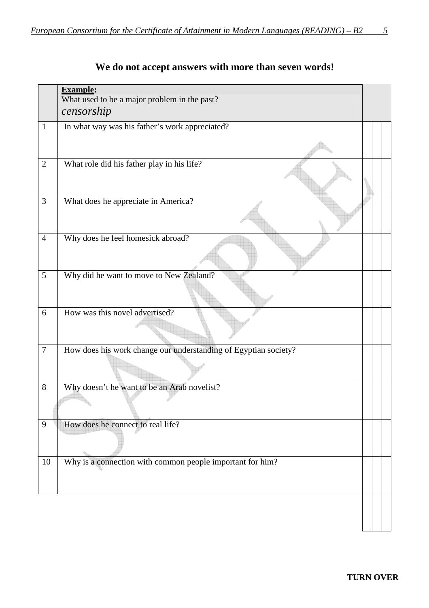|                  | <b>Example:</b><br>What used to be a major problem in the past?<br>censorship |  |  |  |
|------------------|-------------------------------------------------------------------------------|--|--|--|
| $\mathbf{1}$     | In what way was his father's work appreciated?                                |  |  |  |
| $\mathbf{2}$     | What role did his father play in his life?                                    |  |  |  |
| 3                | What does he appreciate in America?                                           |  |  |  |
| $\overline{4}$   | Why does he feel homesick abroad?                                             |  |  |  |
| 5                | Why did he want to move to New Zealand?                                       |  |  |  |
| 6                | How was this novel advertised?                                                |  |  |  |
| $\boldsymbol{7}$ | How does his work change our understanding of Egyptian society?               |  |  |  |
| 8                | Why doesn't he want to be an Arab novelist?                                   |  |  |  |
| 9                | How does he connect to real life?                                             |  |  |  |
| 10               | Why is a connection with common people important for him?                     |  |  |  |

# **We do not accept answers with more than seven words!**